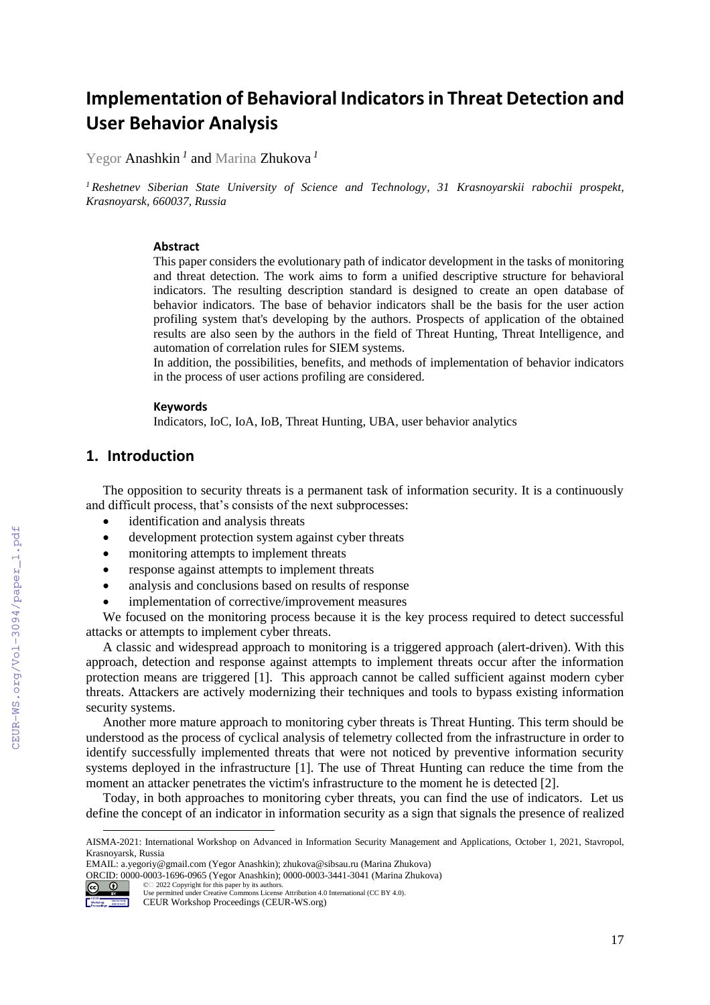# **Implementation of Behavioral Indicators in Threat Detection and User Behavior Analysis**

Yegor Anashkin *<sup>1</sup>* and Marina Zhukova *<sup>1</sup>*

*<sup>1</sup> Reshetnev Siberian State University of Science and Technology, 31 Krasnoyarskii rabochii prospekt, Krasnoyarsk, 660037, Russia*

#### **Abstract**

This paper considers the evolutionary path of indicator development in the tasks of monitoring and threat detection. The work aims to form a unified descriptive structure for behavioral indicators. The resulting description standard is designed to create an open database of behavior indicators. The base of behavior indicators shall be the basis for the user action profiling system that's developing by the authors. Prospects of application of the obtained results are also seen by the authors in the field of Threat Hunting, Threat Intelligence, and automation of correlation rules for SIEM systems.

In addition, the possibilities, benefits, and methods of implementation of behavior indicators in the process of user actions profiling are considered.

#### **Keywords 1**

Indicators, IoC, IoA, IoB, Threat Hunting, UBA, user behavior analytics

## **1. Introduction**

The opposition to security threats is a permanent task of information security. It is a continuously and difficult process, that's consists of the next subprocesses:

- identification and analysis threats
- development protection system against cyber threats
- monitoring attempts to implement threats
- response against attempts to implement threats
- analysis and conclusions based on results of response
- implementation of corrective/improvement measures

We focused on the monitoring process because it is the key process required to detect successful attacks or attempts to implement cyber threats.

A classic and widespread approach to monitoring is a triggered approach (alert-driven). With this approach, detection and response against attempts to implement threats occur after the information protection means are triggered [1]. This approach cannot be called sufficient against modern cyber threats. Attackers are actively modernizing their techniques and tools to bypass existing information security systems.

Another more mature approach to monitoring cyber threats is Threat Hunting. This term should be understood as the process of cyclical analysis of telemetry collected from the infrastructure in order to identify successfully implemented threats that were not noticed by preventive information security systems deployed in the infrastructure [1]. The use of Threat Hunting can reduce the time from the moment an attacker penetrates the victim's infrastructure to the moment he is detected [2].

Today, in both approaches to monitoring cyber threats, you can find the use of indicators. Let us define the concept of an indicator in information security as a sign that signals the presence of realized

EMAIL: a.yegoriy@gmail.com (Yegor Anashkin); zhukova@sibsau.ru (Marina Zhukova) ORCID: 0000-0003-1696-0965 (Yegor Anashkin); 0000-0003-3441-3041 (Marina Zhukova) ©️ 2022 Copyright for this paper by its authors.



 $\overline{a}$ 

AISMA-2021: International Workshop on Advanced in Information Security Management and Applications, October 1, 2021, Stavropol, Krasnoyarsk, Russia

Use permitted under Creative Commons License Attribution 4.0 International (CC BY 4.0).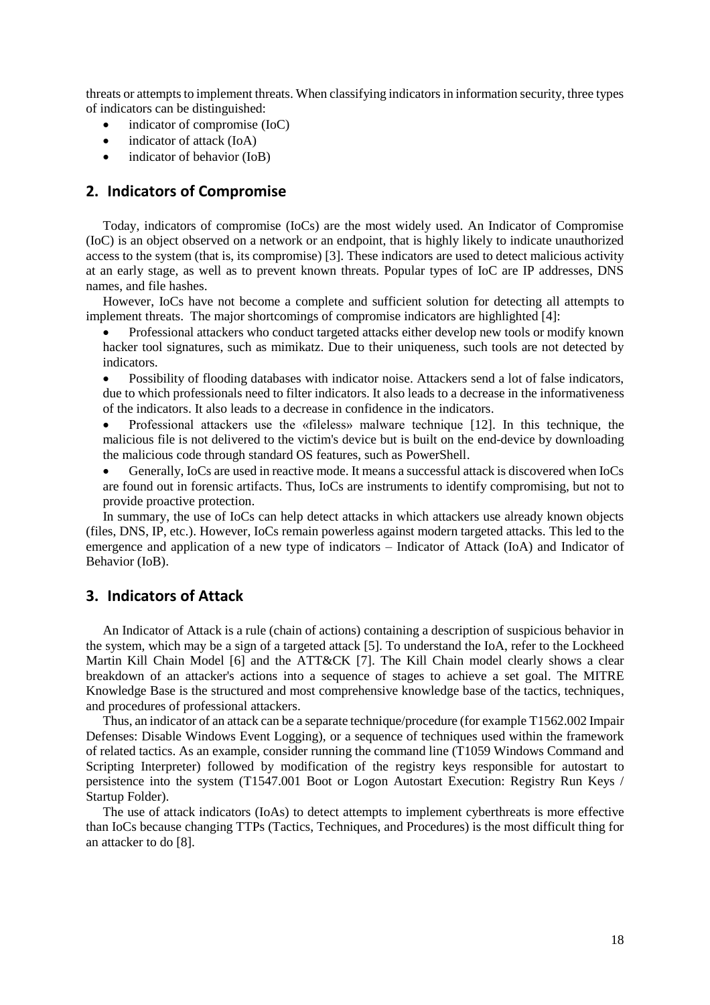threats or attempts to implement threats. When classifying indicators in information security, three types of indicators can be distinguished:

- indicator of compromise (IoC)
- indicator of attack (IoA)
- indicator of behavior (IoB)

# **2. Indicators of Compromise**

Today, indicators of compromise (IoCs) are the most widely used. An Indicator of Compromise (IoC) is an object observed on a network or an endpoint, that is highly likely to indicate unauthorized access to the system (that is, its compromise) [3]. These indicators are used to detect malicious activity at an early stage, as well as to prevent known threats. Popular types of IoC are IP addresses, DNS names, and file hashes.

However, IoCs have not become a complete and sufficient solution for detecting all attempts to implement threats. The major shortcomings of compromise indicators are highlighted [4]:

 Professional attackers who conduct targeted attacks either develop new tools or modify known hacker tool signatures, such as mimikatz. Due to their uniqueness, such tools are not detected by indicators.

 Possibility of flooding databases with indicator noise. Attackers send a lot of false indicators, due to which professionals need to filter indicators. It also leads to a decrease in the informativeness of the indicators. It also leads to a decrease in confidence in the indicators.

- Professional attackers use the «fileless» malware technique [12]. In this technique, the malicious file is not delivered to the victim's device but is built on the end-device by downloading the malicious code through standard OS features, such as PowerShell.
- Generally, IoCs are used in reactive mode. It means a successful attack is discovered when IoCs are found out in forensic artifacts. Thus, IoCs are instruments to identify compromising, but not to provide proactive protection.

In summary, the use of IoCs can help detect attacks in which attackers use already known objects (files, DNS, IP, etc.). However, IoCs remain powerless against modern targeted attacks. This led to the emergence and application of a new type of indicators – Indicator of Attack (IoA) and Indicator of Behavior (IoB).

# **3. Indicators of Attack**

An Indicator of Attack is a rule (chain of actions) containing a description of suspicious behavior in the system, which may be a sign of a targeted attack [5]. To understand the IoA, refer to the Lockheed Martin Kill Chain Model [6] and the ATT&CK [7]. The Kill Chain model clearly shows a clear breakdown of an attacker's actions into a sequence of stages to achieve a set goal. The MITRE Knowledge Base is the structured and most comprehensive knowledge base of the tactics, techniques, and procedures of professional attackers.

Thus, an indicator of an attack can be a separate technique/procedure (for example T1562.002 Impair Defenses: Disable Windows Event Logging), or a sequence of techniques used within the framework of related tactics. As an example, consider running the command line (T1059 Windows Command and Scripting Interpreter) followed by modification of the registry keys responsible for autostart to persistence into the system (T1547.001 Boot or Logon Autostart Execution: Registry Run Keys / Startup Folder).

The use of attack indicators (IoAs) to detect attempts to implement cyberthreats is more effective than IoCs because changing TTPs (Tactics, Techniques, and Procedures) is the most difficult thing for an attacker to do [8].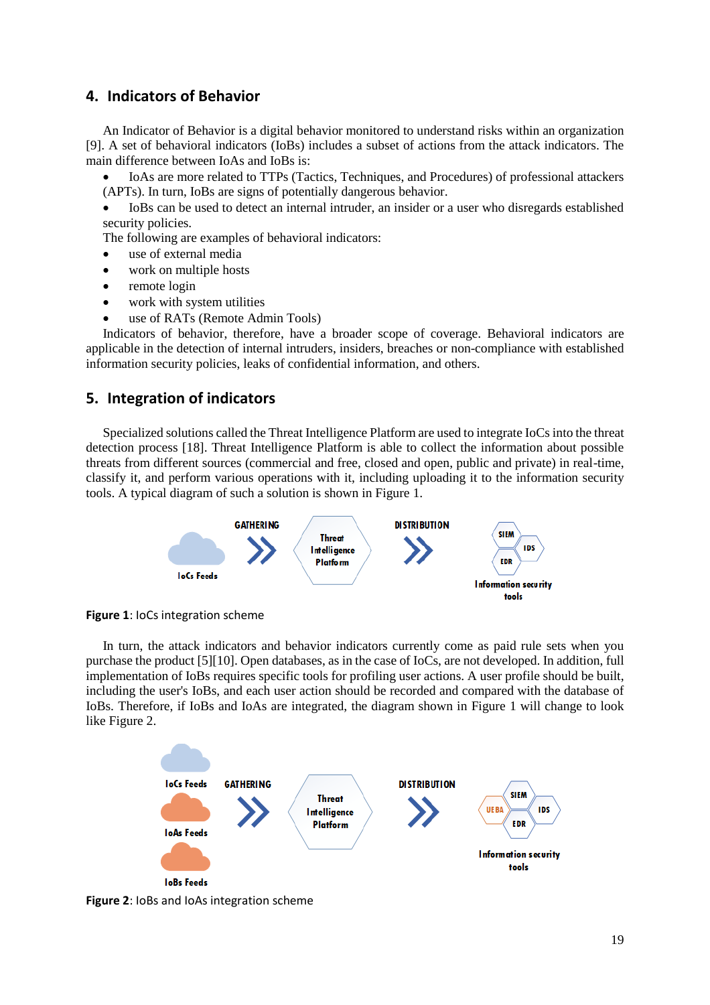# **4. Indicators of Behavior**

An Indicator of Behavior is a digital behavior monitored to understand risks within an organization [9]. A set of behavioral indicators (IoBs) includes a subset of actions from the attack indicators. The main difference between IoAs and IoBs is:

- IoAs are more related to TTPs (Tactics, Techniques, and Procedures) of professional attackers (APTs). In turn, IoBs are signs of potentially dangerous behavior.
- IoBs can be used to detect an internal intruder, an insider or a user who disregards established security policies.

The following are examples of behavioral indicators:

- use of external media
- work on multiple hosts
- remote login
- work with system utilities
- use of RATs (Remote Admin Tools)

Indicators of behavior, therefore, have a broader scope of coverage. Behavioral indicators are applicable in the detection of internal intruders, insiders, breaches or non-compliance with established information security policies, leaks of confidential information, and others.

# **5. Integration of indicators**

Specialized solutions called the Threat Intelligence Platform are used to integrate IoCs into the threat detection process [18]. Threat Intelligence Platform is able to collect the information about possible threats from different sources (commercial and free, closed and open, public and private) in real-time, classify it, and perform various operations with it, including uploading it to the information security tools. A typical diagram of such a solution is shown in Figure 1.



**Figure 1**: IoCs integration scheme

In turn, the attack indicators and behavior indicators currently come as paid rule sets when you purchase the product [5][10]. Open databases, as in the case of IoCs, are not developed. In addition, full implementation of IoBs requires specific tools for profiling user actions. A user profile should be built, including the user's IoBs, and each user action should be recorded and compared with the database of IoBs. Therefore, if IoBs and IoAs are integrated, the diagram shown in Figure 1 will change to look like Figure 2.



**Figure 2**: IoBs and IoAs integration scheme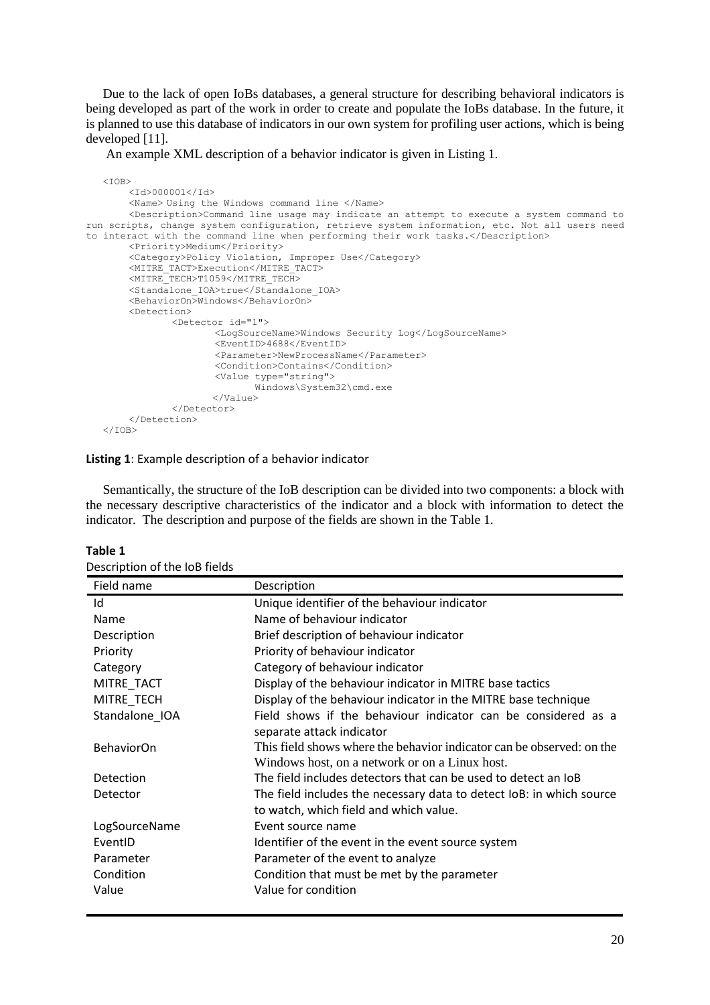Due to the lack of open IoBs databases, a general structure for describing behavioral indicators is being developed as part of the work in order to create and populate the IoBs database. In the future, it is planned to use this database of indicators in our own system for profiling user actions, which is being developed [11].

An example XML description of a behavior indicator is given in Listing 1.

```
<TOB>
       <Id>000001</Id>
       <Name> Using the Windows command line </Name>
        <Description>Command line usage may indicate an attempt to execute a system command to 
run scripts, change system configuration, retrieve system information, etc. Not all users need 
to interact with the command line when performing their work tasks.</Description>
       <Priority>Medium</Priority>
       <Category>Policy Violation, Improper Use</Category>
        <MITRE_TACT>Execution</MITRE_TACT>
       <MITRE_TECH>T1059</MITRE_TECH>
       <Standalone_IOA>true</Standalone_IOA>
       <BehaviorOn>Windows</BehaviorOn>
       <Detection>
               <Detector id="1"> 
                       <LogSourceName>Windows Security Log</LogSourceName>
                       <EventID>4688</EventID>
                       <Parameter>NewProcessName</Parameter>
                       <Condition>Contains</Condition>
                       <Value type="string">
                             Windows\System32\cmd.exe
                      </Value>
               </Detector>
       </Detection>
   \langle/IOB>
```
#### **Listing 1**: Example description of a behavior indicator

Semantically, the structure of the IoB description can be divided into two components: a block with the necessary descriptive characteristics of the indicator and a block with information to detect the indicator. The description and purpose of the fields are shown in the Table 1.

| <b>DESCRIPTION OF LITE TOD HEIUS</b> |                                                                       |  |
|--------------------------------------|-----------------------------------------------------------------------|--|
| Field name                           | Description                                                           |  |
| Id                                   | Unique identifier of the behaviour indicator                          |  |
| Name                                 | Name of behaviour indicator                                           |  |
| Description                          | Brief description of behaviour indicator                              |  |
| Priority                             | Priority of behaviour indicator                                       |  |
| Category                             | Category of behaviour indicator                                       |  |
| MITRE_TACT                           | Display of the behaviour indicator in MITRE base tactics              |  |
| MITRE_TECH                           | Display of the behaviour indicator in the MITRE base technique        |  |
| Standalone IOA                       | Field shows if the behaviour indicator can be considered as a         |  |
|                                      | separate attack indicator                                             |  |
| <b>BehaviorOn</b>                    | This field shows where the behavior indicator can be observed: on the |  |
|                                      | Windows host, on a network or on a Linux host.                        |  |
| Detection                            | The field includes detectors that can be used to detect an IoB        |  |
| Detector                             | The field includes the necessary data to detect IoB: in which source  |  |
|                                      | to watch, which field and which value.                                |  |
| LogSourceName                        | Event source name                                                     |  |
| EventID                              | Identifier of the event in the event source system                    |  |
| Parameter                            | Parameter of the event to analyze                                     |  |
| Condition                            | Condition that must be met by the parameter                           |  |
| Value                                | Value for condition                                                   |  |
|                                      |                                                                       |  |

| Table 1 |                               |
|---------|-------------------------------|
|         | Deccription of the JoB fields |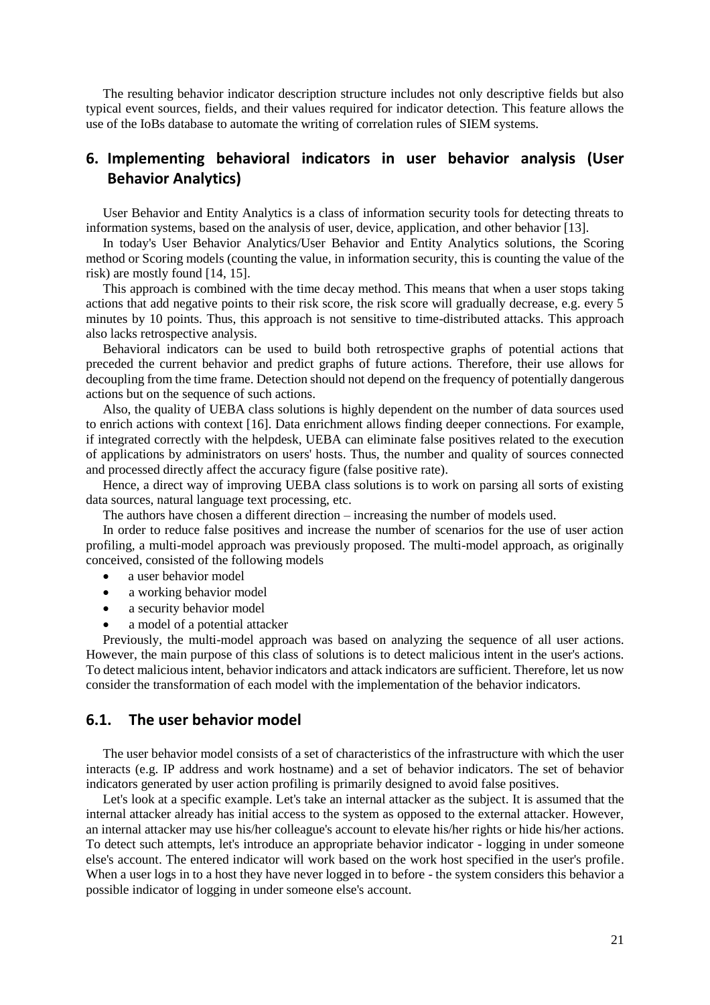The resulting behavior indicator description structure includes not only descriptive fields but also typical event sources, fields, and their values required for indicator detection. This feature allows the use of the IoBs database to automate the writing of correlation rules of SIEM systems.

# **6. Implementing behavioral indicators in user behavior analysis (User Behavior Analytics)**

User Behavior and Entity Analytics is a class of information security tools for detecting threats to information systems, based on the analysis of user, device, application, and other behavior [13].

In today's User Behavior Analytics/User Behavior and Entity Analytics solutions, the Scoring method or Scoring models (counting the value, in information security, this is counting the value of the risk) are mostly found [14, 15].

This approach is combined with the time decay method. This means that when a user stops taking actions that add negative points to their risk score, the risk score will gradually decrease, e.g. every 5 minutes by 10 points. Thus, this approach is not sensitive to time-distributed attacks. This approach also lacks retrospective analysis.

Behavioral indicators can be used to build both retrospective graphs of potential actions that preceded the current behavior and predict graphs of future actions. Therefore, their use allows for decoupling from the time frame. Detection should not depend on the frequency of potentially dangerous actions but on the sequence of such actions.

Also, the quality of UEBA class solutions is highly dependent on the number of data sources used to enrich actions with context [16]. Data enrichment allows finding deeper connections. For example, if integrated correctly with the helpdesk, UEBA can eliminate false positives related to the execution of applications by administrators on users' hosts. Thus, the number and quality of sources connected and processed directly affect the accuracy figure (false positive rate).

Hence, a direct way of improving UEBA class solutions is to work on parsing all sorts of existing data sources, natural language text processing, etc.

The authors have chosen a different direction – increasing the number of models used.

In order to reduce false positives and increase the number of scenarios for the use of user action profiling, a multi-model approach was previously proposed. The multi-model approach, as originally conceived, consisted of the following models

- a user behavior model
- a working behavior model
- a security behavior model
- a model of a potential attacker

Previously, the multi-model approach was based on analyzing the sequence of all user actions. However, the main purpose of this class of solutions is to detect malicious intent in the user's actions. To detect malicious intent, behavior indicators and attack indicators are sufficient. Therefore, let us now consider the transformation of each model with the implementation of the behavior indicators.

# **6.1. The user behavior model**

The user behavior model consists of a set of characteristics of the infrastructure with which the user interacts (e.g. IP address and work hostname) and a set of behavior indicators. The set of behavior indicators generated by user action profiling is primarily designed to avoid false positives.

Let's look at a specific example. Let's take an internal attacker as the subject. It is assumed that the internal attacker already has initial access to the system as opposed to the external attacker. However, an internal attacker may use his/her colleague's account to elevate his/her rights or hide his/her actions. To detect such attempts, let's introduce an appropriate behavior indicator - logging in under someone else's account. The entered indicator will work based on the work host specified in the user's profile. When a user logs in to a host they have never logged in to before - the system considers this behavior a possible indicator of logging in under someone else's account.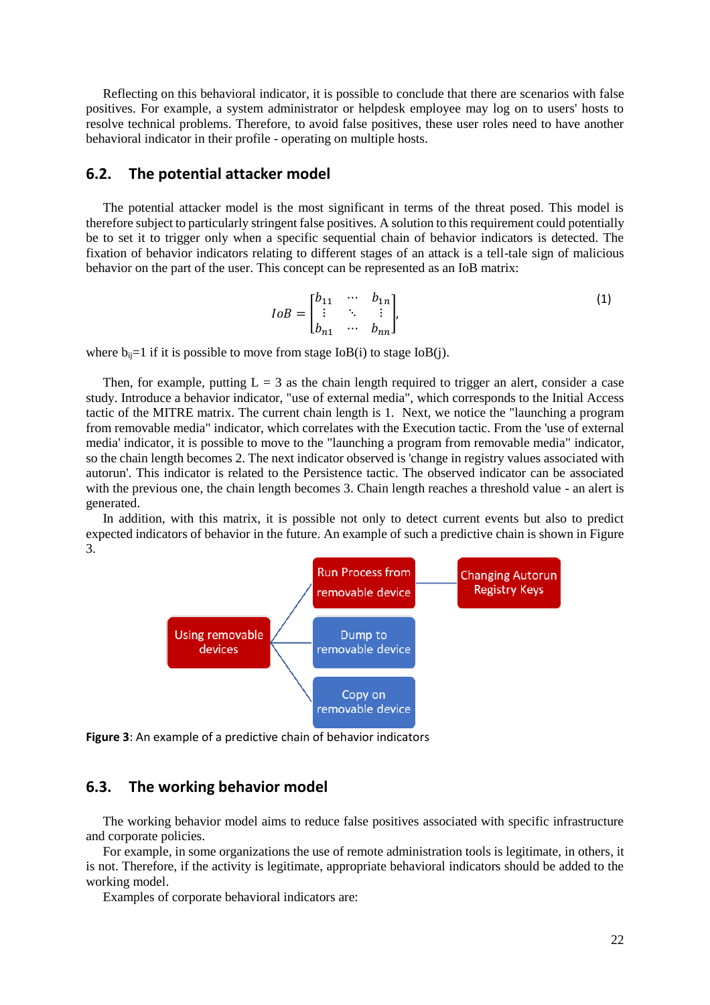Reflecting on this behavioral indicator, it is possible to conclude that there are scenarios with false positives. For example, a system administrator or helpdesk employee may log on to users' hosts to resolve technical problems. Therefore, to avoid false positives, these user roles need to have another behavioral indicator in their profile - operating on multiple hosts.

## **6.2. The potential attacker model**

The potential attacker model is the most significant in terms of the threat posed. This model is therefore subject to particularly stringent false positives. A solution to this requirement could potentially be to set it to trigger only when a specific sequential chain of behavior indicators is detected. The fixation of behavior indicators relating to different stages of an attack is a tell-tale sign of malicious behavior on the part of the user. This concept can be represented as an IoB matrix:

$$
IoB = \begin{bmatrix} b_{11} & \cdots & b_{1n} \\ \vdots & \ddots & \vdots \\ b_{n1} & \cdots & b_{nn} \end{bmatrix},
$$
 (1)

where  $b_{ij}=1$  if it is possible to move from stage IoB(i) to stage IoB(j).

Then, for example, putting  $L = 3$  as the chain length required to trigger an alert, consider a case study. Introduce a behavior indicator, "use of external media", which corresponds to the Initial Access tactic of the MITRE matrix. The current chain length is 1. Next, we notice the "launching a program from removable media" indicator, which correlates with the Execution tactic. From the 'use of external media' indicator, it is possible to move to the "launching a program from removable media" indicator, so the chain length becomes 2. The next indicator observed is 'change in registry values associated with autorun'. This indicator is related to the Persistence tactic. The observed indicator can be associated with the previous one, the chain length becomes 3. Chain length reaches a threshold value - an alert is generated.

In addition, with this matrix, it is possible not only to detect current events but also to predict expected indicators of behavior in the future. An example of such a predictive chain is shown in Figure 3.



**Figure 3**: An example of a predictive chain of behavior indicators

### **6.3. The working behavior model**

The working behavior model aims to reduce false positives associated with specific infrastructure and corporate policies.

For example, in some organizations the use of remote administration tools is legitimate, in others, it is not. Therefore, if the activity is legitimate, appropriate behavioral indicators should be added to the working model.

Examples of corporate behavioral indicators are: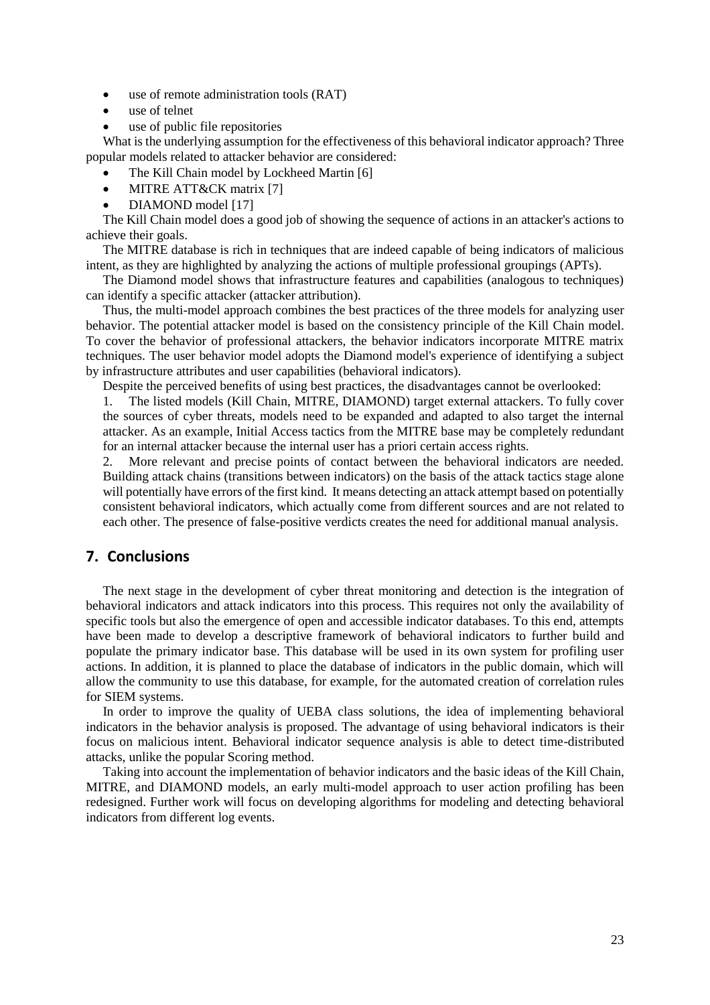- use of remote administration tools (RAT)
- use of telnet
- use of public file repositories

What is the underlying assumption for the effectiveness of this behavioral indicator approach? Three popular models related to attacker behavior are considered:

- The Kill Chain model by Lockheed Martin [6]
- MITRE ATT&CK matrix [7]
- DIAMOND model [17]

The Kill Chain model does a good job of showing the sequence of actions in an attacker's actions to achieve their goals.

The MITRE database is rich in techniques that are indeed capable of being indicators of malicious intent, as they are highlighted by analyzing the actions of multiple professional groupings (APTs).

The Diamond model shows that infrastructure features and capabilities (analogous to techniques) can identify a specific attacker (attacker attribution).

Thus, the multi-model approach combines the best practices of the three models for analyzing user behavior. The potential attacker model is based on the consistency principle of the Kill Chain model. To cover the behavior of professional attackers, the behavior indicators incorporate MITRE matrix techniques. The user behavior model adopts the Diamond model's experience of identifying a subject by infrastructure attributes and user capabilities (behavioral indicators).

Despite the perceived benefits of using best practices, the disadvantages cannot be overlooked:

1. The listed models (Kill Chain, MITRE, DIAMOND) target external attackers. To fully cover the sources of cyber threats, models need to be expanded and adapted to also target the internal attacker. As an example, Initial Access tactics from the MITRE base may be completely redundant for an internal attacker because the internal user has a priori certain access rights.

2. More relevant and precise points of contact between the behavioral indicators are needed. Building attack chains (transitions between indicators) on the basis of the attack tactics stage alone will potentially have errors of the first kind. It means detecting an attack attempt based on potentially consistent behavioral indicators, which actually come from different sources and are not related to each other. The presence of false-positive verdicts creates the need for additional manual analysis.

# **7. Conclusions**

The next stage in the development of cyber threat monitoring and detection is the integration of behavioral indicators and attack indicators into this process. This requires not only the availability of specific tools but also the emergence of open and accessible indicator databases. To this end, attempts have been made to develop a descriptive framework of behavioral indicators to further build and populate the primary indicator base. This database will be used in its own system for profiling user actions. In addition, it is planned to place the database of indicators in the public domain, which will allow the community to use this database, for example, for the automated creation of correlation rules for SIEM systems.

In order to improve the quality of UEBA class solutions, the idea of implementing behavioral indicators in the behavior analysis is proposed. The advantage of using behavioral indicators is their focus on malicious intent. Behavioral indicator sequence analysis is able to detect time-distributed attacks, unlike the popular Scoring method.

Taking into account the implementation of behavior indicators and the basic ideas of the Kill Chain, MITRE, and DIAMOND models, an early multi-model approach to user action profiling has been redesigned. Further work will focus on developing algorithms for modeling and detecting behavioral indicators from different log events.